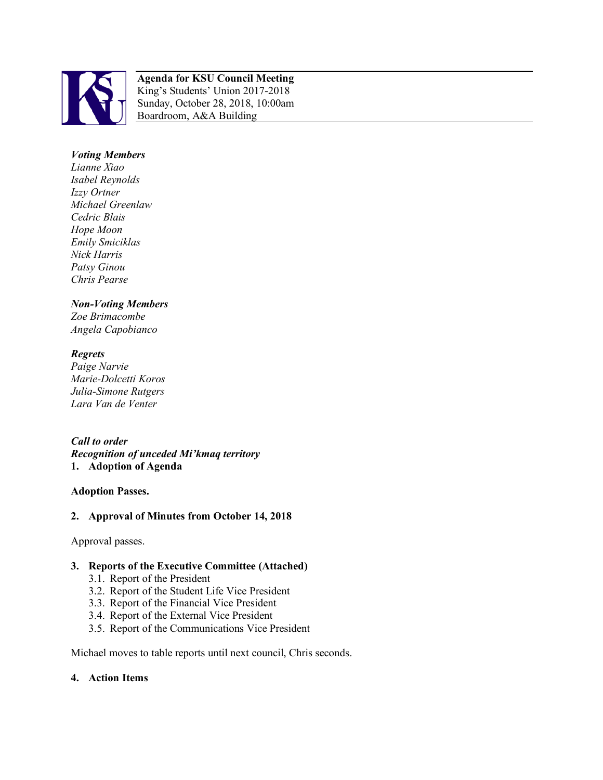

#### **Agenda for KSU Council Meeting**  King's Students' Union 2017-2018 Sunday, October 28, 2018, 10:00am Boardroom, A&A Building

# *Voting Members*

*Lianne Xiao Isabel Reynolds Izzy Ortner Michael Greenlaw Cedric Blais Hope Moon Emily Smiciklas Nick Harris Patsy Ginou Chris Pearse*

#### *Non-Voting Members*

*Zoe Brimacombe Angela Capobianco*

# *Regrets*

*Paige Narvie Marie-Dolcetti Koros Julia-Simone Rutgers Lara Van de Venter*

#### *Call to order*

*Recognition of unceded Mi'kmaq territory*  **1. Adoption of Agenda**

# **Adoption Passes.**

# **2. Approval of Minutes from October 14, 2018**

Approval passes.

# **3. Reports of the Executive Committee (Attached)**

- 3.1. Report of the President
- 3.2. Report of the Student Life Vice President
- 3.3. Report of the Financial Vice President
- 3.4. Report of the External Vice President
- 3.5. Report of the Communications Vice President

Michael moves to table reports until next council, Chris seconds.

#### **4. Action Items**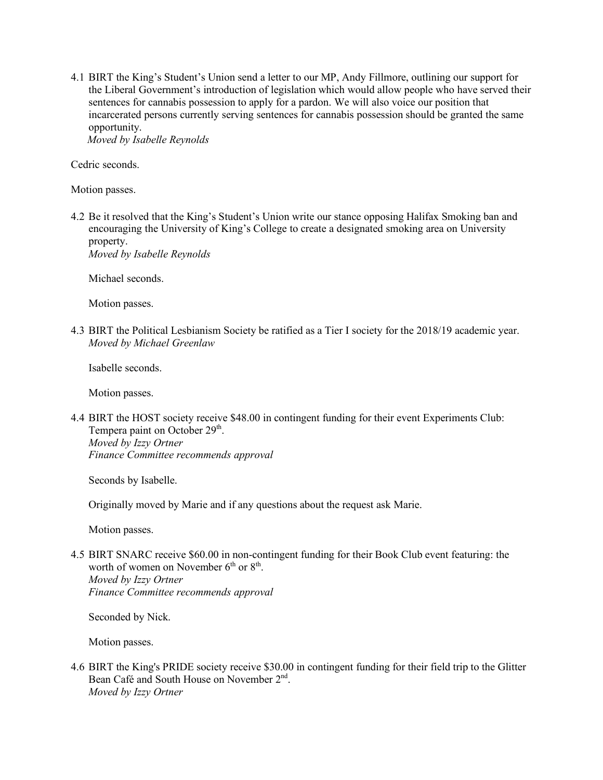4.1 BIRT the King's Student's Union send a letter to our MP, Andy Fillmore, outlining our support for the Liberal Government's introduction of legislation which would allow people who have served their sentences for cannabis possession to apply for a pardon. We will also voice our position that incarcerated persons currently serving sentences for cannabis possession should be granted the same opportunity.  *Moved by Isabelle Reynolds* 

Cedric seconds.

Motion passes.

4.2 Be it resolved that the King's Student's Union write our stance opposing Halifax Smoking ban and encouraging the University of King's College to create a designated smoking area on University property.

*Moved by Isabelle Reynolds* 

Michael seconds.

Motion passes.

4.3 BIRT the Political Lesbianism Society be ratified as a Tier I society for the 2018/19 academic year. *Moved by Michael Greenlaw* 

Isabelle seconds.

Motion passes.

4.4 BIRT the HOST society receive \$48.00 in contingent funding for their event Experiments Club: Tempera paint on October 29<sup>th</sup>. *Moved by Izzy Ortner Finance Committee recommends approval*

Seconds by Isabelle.

Originally moved by Marie and if any questions about the request ask Marie.

Motion passes.

4.5 BIRT SNARC receive \$60.00 in non-contingent funding for their Book Club event featuring: the worth of women on November  $6<sup>th</sup>$  or  $8<sup>th</sup>$ . *Moved by Izzy Ortner Finance Committee recommends approval* 

Seconded by Nick.

Motion passes.

4.6 BIRT the King's PRIDE society receive \$30.00 in contingent funding for their field trip to the Glitter Bean Café and South House on November 2nd. *Moved by Izzy Ortner*